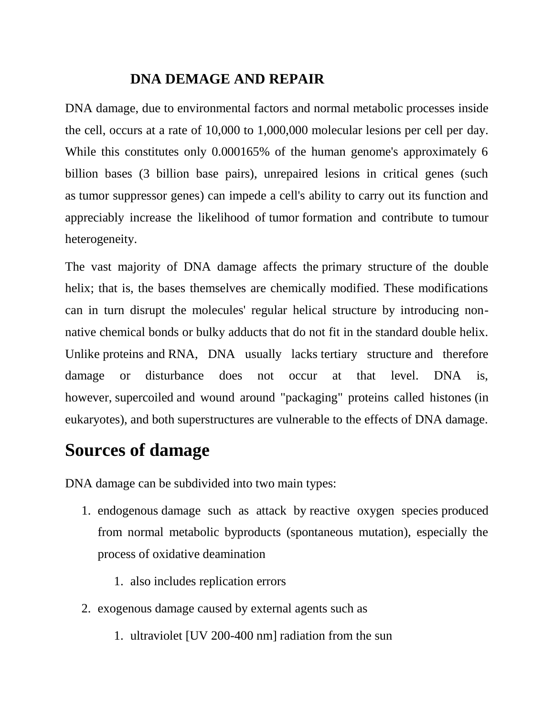## **DNA DEMAGE AND REPAIR**

DNA damage, due to environmental factors and normal [metabolic](https://en.wikipedia.org/wiki/Metabolism) processes inside the cell, occurs at a rate of 10,000 to 1,000,000 molecular lesions per cell per day. While this constitutes only 0.000165% of the human genome's approximately 6 billion bases (3 billion base pairs), unrepaired lesions in critical genes (such as [tumor suppressor genes\)](https://en.wikipedia.org/wiki/Tumor_suppressor_gene) can impede a cell's ability to carry out its function and appreciably increase the likelihood of [tumor](https://en.wikipedia.org/wiki/Tumor) formation and contribute to [tumour](https://en.wikipedia.org/wiki/Tumour_heterogeneity)  [heterogeneity.](https://en.wikipedia.org/wiki/Tumour_heterogeneity)

The vast majority of DNA damage affects the [primary structure](https://en.wikipedia.org/wiki/Primary_structure) of the double helix; that is, the bases themselves are chemically modified. These modifications can in turn disrupt the molecules' regular helical structure by introducing nonnative chemical bonds or bulky adducts that do not fit in the standard double helix. Unlike [proteins](https://en.wikipedia.org/wiki/Protein) and [RNA,](https://en.wikipedia.org/wiki/RNA) DNA usually lacks [tertiary structure](https://en.wikipedia.org/wiki/Tertiary_structure) and therefore damage or disturbance does not occur at that level. DNA is, however, [supercoiled](https://en.wikipedia.org/wiki/Supercoil) and wound around "packaging" proteins called [histones](https://en.wikipedia.org/wiki/Histone) (in eukaryotes), and both superstructures are vulnerable to the effects of DNA damage.

# **Sources of damage**

DNA damage can be subdivided into two main types:

- 1. [endogenous](https://en.wikipedia.org/wiki/Endogenous) damage such as attack by [reactive oxygen species](https://en.wikipedia.org/wiki/Reactive_oxygen_species) produced from normal metabolic byproducts (spontaneous mutation), especially the process of [oxidative deamination](https://en.wikipedia.org/wiki/Oxidative_deamination)
	- 1. also includes [replication errors](https://en.wikipedia.org/wiki/DNA_error)
- 2. exogenous damage caused by external agents such as
	- 1. ultraviolet [UV 200-400 [nm\]](https://en.wikipedia.org/wiki/Nanometre) [radiation](https://en.wikipedia.org/wiki/Radiation) from the sun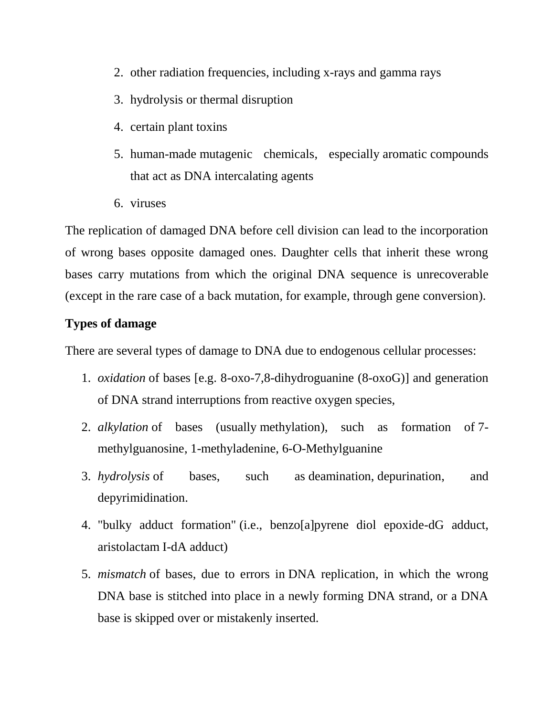- 2. other radiation frequencies, including [x-rays](https://en.wikipedia.org/wiki/X-ray) and [gamma rays](https://en.wikipedia.org/wiki/Gamma_ray)
- 3. [hydrolysis](https://en.wikipedia.org/wiki/Hydrolysis) or thermal disruption
- 4. certain [plant](https://en.wikipedia.org/wiki/Plant) [toxins](https://en.wikipedia.org/wiki/Toxin)
- 5. human-made [mutagenic chemicals,](https://en.wikipedia.org/wiki/Mutagen) especially [aromatic](https://en.wikipedia.org/wiki/Aromatic) compounds that act as DNA [intercalating agents](https://en.wikipedia.org/wiki/Intercalation_(biochemistry))
- 6. [viruses](https://en.wikipedia.org/wiki/Virus)

The replication of damaged DNA before cell division can lead to the incorporation of wrong bases opposite damaged ones. Daughter cells that inherit these wrong bases carry mutations from which the original DNA sequence is unrecoverable (except in the rare case of a [back mutation,](https://en.wikipedia.org/wiki/Mutation#By_effect_on_function) for example, through [gene conversion\)](https://en.wikipedia.org/wiki/Gene_conversion).

#### **Types of damage**

There are several types of damage to DNA due to endogenous cellular processes:

- 1. *[oxidation](https://en.wikipedia.org/wiki/DNA_oxidation)* of bases [e.g. 8-oxo-7,8-dihydroguanine (8-oxoG)] and generation of DNA strand interruptions from reactive oxygen species,
- 2. *[alkylation](https://en.wikipedia.org/wiki/Alkylation)* of bases (usually [methylation\)](https://en.wikipedia.org/wiki/Methylation), such as formation of [7](https://en.wikipedia.org/wiki/7-methylguanosine) [methylguanosine,](https://en.wikipedia.org/wiki/7-methylguanosine) 1-methyladenine, [6-O-Methylguanine](https://en.wikipedia.org/wiki/6-O-Methylguanine)
- 3. *[hydrolysis](https://en.wikipedia.org/wiki/Hydrolysis)* of bases, such as [deamination,](https://en.wikipedia.org/wiki/Deamination) [depurination,](https://en.wikipedia.org/wiki/Depurination) and depyrimidination.
- 4. ["bulky adduct formation"](https://en.wikipedia.org/wiki/DNA_adduct) (i.e., benzo[a]pyrene diol epoxide-dG adduct, aristolactam I-dA adduct)
- 5. *mismatch* of bases, due to errors in [DNA replication,](https://en.wikipedia.org/wiki/DNA_replication) in which the wrong DNA base is stitched into place in a newly forming DNA strand, or a DNA base is skipped over or mistakenly inserted.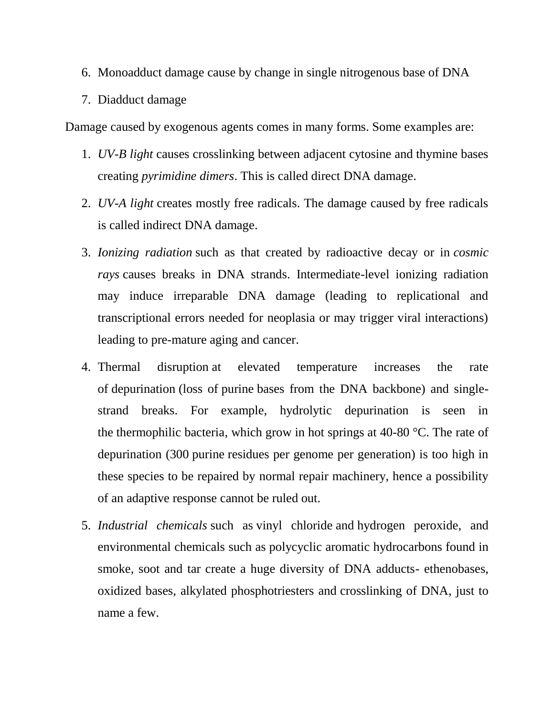- 6. Monoadduct damage cause by change in single nitrogenous base of DNA
- 7. Diadduct damage

Damage caused by exogenous agents comes in many forms. Some examples are:

- 1. *[UV-B light](https://en.wikipedia.org/wiki/UV_light)* causes crosslinking between adjacent cytosine and thymine bases creating *[pyrimidine dimers](https://en.wikipedia.org/wiki/Pyrimidine_dimers)*. This is called [direct DNA damage.](https://en.wikipedia.org/wiki/Direct_DNA_damage)
- 2. *[UV-A light](https://en.wikipedia.org/wiki/UV_light)* creates mostly free radicals. The damage caused by free radicals is called [indirect DNA damage.](https://en.wikipedia.org/wiki/Indirect_DNA_damage)
- 3. *[Ionizing radiation](https://en.wikipedia.org/wiki/Ionizing_radiation)* such as that created by radioactive decay or in *[cosmic](https://en.wikipedia.org/wiki/Cosmic_rays)  [rays](https://en.wikipedia.org/wiki/Cosmic_rays)* causes breaks in DNA strands. Intermediate-level ionizing radiation may induce irreparable DNA damage (leading to replicational and transcriptional errors needed for neoplasia or may trigger viral interactions) leading to pre-mature aging and cancer.
- 4. Thermal disruption at elevated temperature increases the rate of [depurination](https://en.wikipedia.org/wiki/Depurination) (loss of [purine](https://en.wikipedia.org/wiki/Purine) bases from the DNA backbone) and singlestrand breaks. For example, hydrolytic depurination is seen in the [thermophilic bacteria,](https://en.wikipedia.org/wiki/Thermophilic_bacteria) which grow in [hot springs](https://en.wikipedia.org/wiki/Hot_springs) at 40-80 °C. The rate of depurination (300 [purine](https://en.wikipedia.org/wiki/Purine) residues per genome per generation) is too high in these species to be repaired by normal repair machinery, hence a possibility of an [adaptive](https://en.wikipedia.org/wiki/Adaptive) response cannot be ruled out.
- 5. *Industrial chemicals* such as [vinyl chloride](https://en.wikipedia.org/wiki/Vinyl_chloride) and [hydrogen peroxide,](https://en.wikipedia.org/wiki/Hydrogen_peroxide) and environmental chemicals such as [polycyclic aromatic hydrocarbons](https://en.wikipedia.org/wiki/Polycyclic_aromatic_hydrocarbon) found in smoke, soot and tar create a huge diversity of DNA adducts- ethenobases, oxidized bases, alkylated phosphotriesters and [crosslinking of DNA,](https://en.wikipedia.org/wiki/Crosslinking_of_DNA) just to name a few.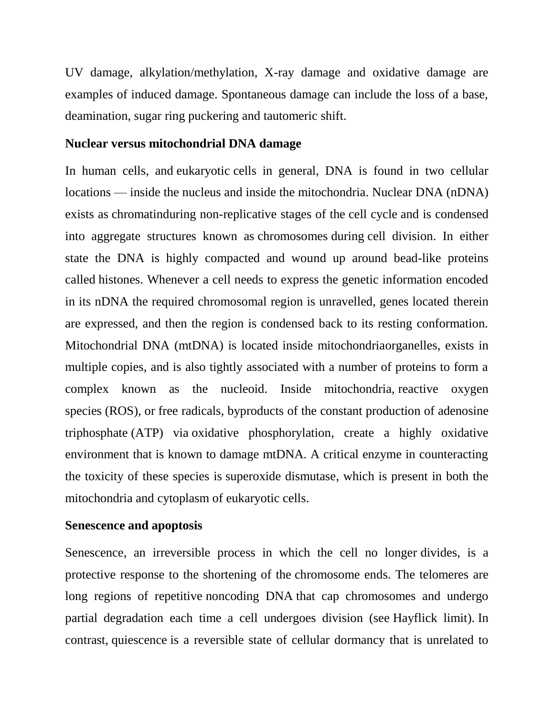UV damage, alkylation/methylation, X-ray damage and oxidative damage are examples of induced damage. Spontaneous damage can include the loss of a base, deamination, sugar [ring puckering](https://en.wikipedia.org/wiki/Ring_pucker) and tautomeric shift.

#### **Nuclear versus mitochondrial DNA damage**

In human cells, and [eukaryotic](https://en.wikipedia.org/wiki/Eukaryotic) cells in general, DNA is found in two cellular locations — inside the [nucleus](https://en.wikipedia.org/wiki/Cell_nucleus) and inside the [mitochondria.](https://en.wikipedia.org/wiki/Mitochondria) Nuclear DNA (nDNA) exists as [chromatind](https://en.wikipedia.org/wiki/Chromatin)uring non-replicative stages of the [cell cycle](https://en.wikipedia.org/wiki/Cell_cycle) and is condensed into aggregate structures known as [chromosomes](https://en.wikipedia.org/wiki/Chromosomes) during [cell division.](https://en.wikipedia.org/wiki/Cell_division) In either state the DNA is highly compacted and wound up around bead-like proteins called [histones.](https://en.wikipedia.org/wiki/Histones) Whenever a cell needs to express the genetic information encoded in its nDNA the required chromosomal region is unravelled, genes located therein are expressed, and then the region is condensed back to its resting conformation. Mitochondrial DNA (mtDNA) is located inside mitochondri[aorganelles,](https://en.wikipedia.org/wiki/Organelles) exists in multiple copies, and is also tightly associated with a number of proteins to form a complex known as the nucleoid. Inside mitochondria, [reactive oxygen](https://en.wikipedia.org/wiki/Reactive_oxygen_species)  [species](https://en.wikipedia.org/wiki/Reactive_oxygen_species) (ROS), or [free radicals,](https://en.wikipedia.org/wiki/Radical_(chemistry)) byproducts of the constant production of [adenosine](https://en.wikipedia.org/wiki/Adenosine_triphosphate)  [triphosphate](https://en.wikipedia.org/wiki/Adenosine_triphosphate) (ATP) via [oxidative phosphorylation,](https://en.wikipedia.org/wiki/Oxidative_phosphorylation) create a highly oxidative environment that is known to damage mtDNA. A critical enzyme in counteracting the toxicity of these species is [superoxide dismutase,](https://en.wikipedia.org/wiki/Superoxide_dismutase) which is present in both the mitochondria and [cytoplasm](https://en.wikipedia.org/wiki/Cytoplasm) of eukaryotic cells.

#### **Senescence and apoptosis**

Senescence, an irreversible process in which the cell no longer [divides,](https://en.wikipedia.org/wiki/Mitosis) is a protective response to the shortening of the [chromosome ends.](https://en.wikipedia.org/wiki/Telomeres) The telomeres are long regions of repetitive [noncoding DNA](https://en.wikipedia.org/wiki/Noncoding_DNA) that cap chromosomes and undergo partial degradation each time a cell undergoes division (see [Hayflick limit\)](https://en.wikipedia.org/wiki/Hayflick_limit). In contrast, [quiescence](https://en.wikipedia.org/wiki/G0_phase) is a reversible state of cellular dormancy that is unrelated to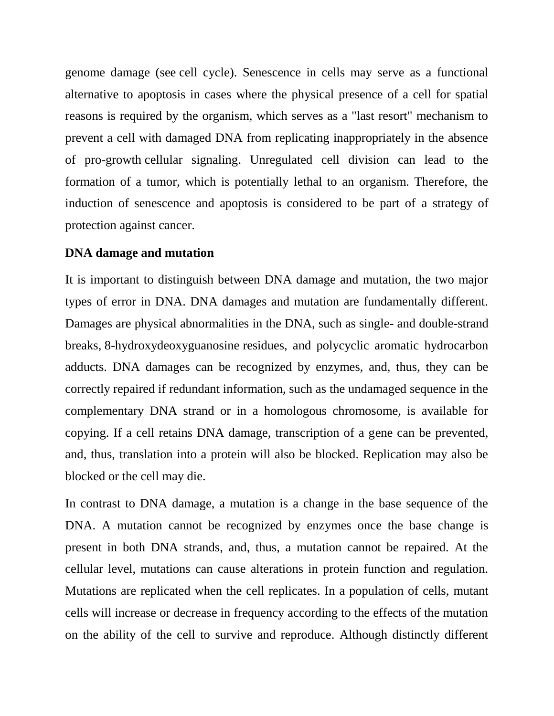genome damage (see [cell cycle\)](https://en.wikipedia.org/wiki/Cell_cycle). Senescence in cells may serve as a functional alternative to apoptosis in cases where the physical presence of a cell for spatial reasons is required by the organism, which serves as a "last resort" mechanism to prevent a cell with damaged DNA from replicating inappropriately in the absence of pro-growth [cellular signaling.](https://en.wikipedia.org/wiki/Cellular_signaling) Unregulated cell division can lead to the formation of a tumor, which is potentially lethal to an organism. Therefore, the induction of senescence and apoptosis is considered to be part of a strategy of protection against cancer.

#### **DNA damage and mutation**

It is important to distinguish between DNA damage and mutation, the two major types of error in DNA. DNA damages and mutation are fundamentally different. Damages are physical abnormalities in the DNA, such as single- and double-strand breaks, [8-hydroxydeoxyguanosine](https://en.wikipedia.org/wiki/8-hydroxydeoxyguanosine) residues, and polycyclic aromatic hydrocarbon adducts. DNA damages can be recognized by enzymes, and, thus, they can be correctly repaired if redundant information, such as the undamaged sequence in the complementary DNA strand or in a homologous chromosome, is available for copying. If a cell retains DNA damage, transcription of a gene can be prevented, and, thus, translation into a protein will also be blocked. Replication may also be blocked or the cell may die.

In contrast to DNA damage, a mutation is a change in the base sequence of the DNA. A mutation cannot be recognized by enzymes once the base change is present in both DNA strands, and, thus, a mutation cannot be repaired. At the cellular level, mutations can cause alterations in protein function and regulation. Mutations are replicated when the cell replicates. In a population of cells, mutant cells will increase or decrease in frequency according to the effects of the mutation on the ability of the cell to survive and reproduce. Although distinctly different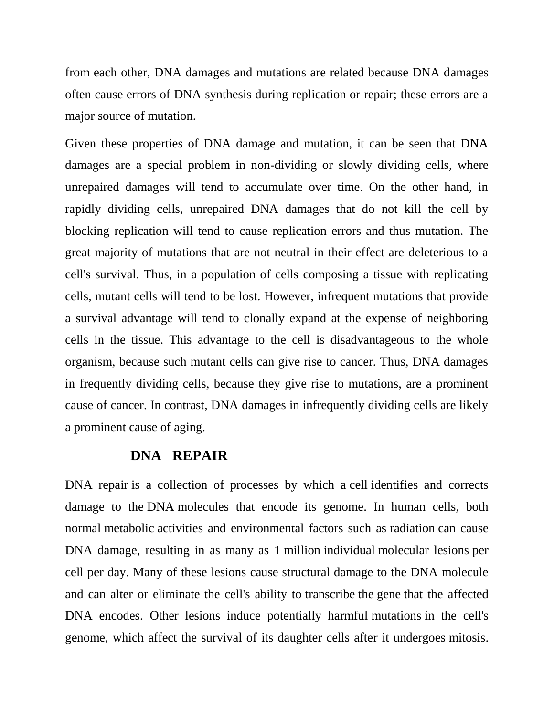from each other, DNA damages and mutations are related because DNA damages often cause errors of DNA synthesis during replication or repair; these errors are a major source of mutation.

Given these properties of DNA damage and mutation, it can be seen that DNA damages are a special problem in non-dividing or slowly dividing cells, where unrepaired damages will tend to accumulate over time. On the other hand, in rapidly dividing cells, unrepaired DNA damages that do not kill the cell by blocking replication will tend to cause replication errors and thus mutation. The great majority of mutations that are not neutral in their effect are deleterious to a cell's survival. Thus, in a population of cells composing a tissue with replicating cells, mutant cells will tend to be lost. However, infrequent mutations that provide a survival advantage will tend to clonally expand at the expense of neighboring cells in the tissue. This advantage to the cell is disadvantageous to the whole organism, because such mutant cells can give rise to cancer. Thus, DNA damages in frequently dividing cells, because they give rise to mutations, are a prominent cause of cancer. In contrast, DNA damages in infrequently dividing cells are likely a prominent cause of aging.

#### **DNA REPAIR**

DNA repair is a collection of processes by which a [cell](https://en.wikipedia.org/wiki/Cell_(biology)) identifies and corrects damage to the [DNA](https://en.wikipedia.org/wiki/DNA) molecules that encode its [genome.](https://en.wikipedia.org/wiki/Genome) In human cells, both normal [metabolic](https://en.wikipedia.org/wiki/Metabolism) activities and environmental factors such as [radiation](https://en.wikipedia.org/wiki/Radiation) can cause DNA damage, resulting in as many as 1 [million](https://en.wikipedia.org/wiki/Million) individual [molecular lesions](https://en.wikipedia.org/wiki/Molecular_lesion) per cell per day. Many of these lesions cause structural damage to the DNA molecule and can alter or eliminate the cell's ability to [transcribe](https://en.wikipedia.org/wiki/Transcription_(genetics)) the [gene](https://en.wikipedia.org/wiki/Gene) that the affected DNA encodes. Other lesions induce potentially harmful [mutations](https://en.wikipedia.org/wiki/Mutation) in the cell's genome, which affect the survival of its daughter cells after it undergoes [mitosis.](https://en.wikipedia.org/wiki/Mitosis)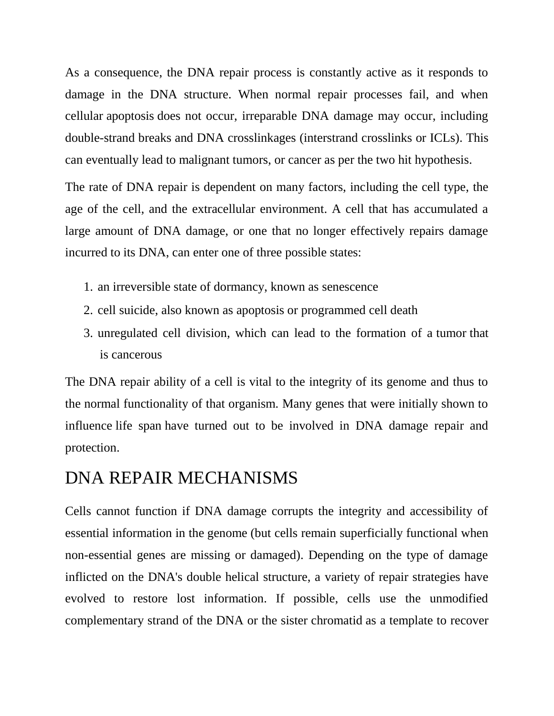As a consequence, the DNA repair process is constantly active as it responds to damage in the DNA structure. When normal repair processes fail, and when cellular [apoptosis](https://en.wikipedia.org/wiki/Apoptosis) does not occur, irreparable DNA damage may occur, including double-strand breaks and DNA crosslinkages (interstrand crosslinks or ICLs). This can eventually lead to malignant tumors, or [cancer](https://en.wikipedia.org/wiki/Cancer) as per the [two hit hypothesis.](https://en.wikipedia.org/wiki/Knudson_hypothesis)

The rate of DNA repair is dependent on many factors, including the cell type, the age of the cell, and the extracellular environment. A cell that has accumulated a large amount of DNA damage, or one that no longer effectively repairs damage incurred to its DNA, can enter one of three possible states:

- 1. an irreversible state of dormancy, known as [senescence](https://en.wikipedia.org/wiki/Senescence)
- 2. cell suicide, also known as [apoptosis](https://en.wikipedia.org/wiki/Apoptosis) or [programmed cell death](https://en.wikipedia.org/wiki/Programmed_cell_death)
- 3. unregulated cell division, which can lead to the formation of a [tumor](https://en.wikipedia.org/wiki/Tumor) that is [cancerous](https://en.wikipedia.org/wiki/Cancer)

The DNA repair ability of a cell is vital to the integrity of its genome and thus to the normal functionality of that organism. Many genes that were initially shown to influence [life span](https://en.wikipedia.org/wiki/Life_expectancy) have turned out to be involved in DNA damage repair and protection.

# DNA REPAIR MECHANISMS

Cells cannot function if DNA damage corrupts the integrity and accessibility of essential information in the [genome](https://en.wikipedia.org/wiki/Genome) (but cells remain superficially functional when non-essential genes are missing or damaged). Depending on the type of damage inflicted on the DNA's double helical structure, a variety of repair strategies have evolved to restore lost information. If possible, cells use the unmodified complementary strand of the DNA or the sister [chromatid](https://en.wikipedia.org/wiki/Chromatid) as a template to recover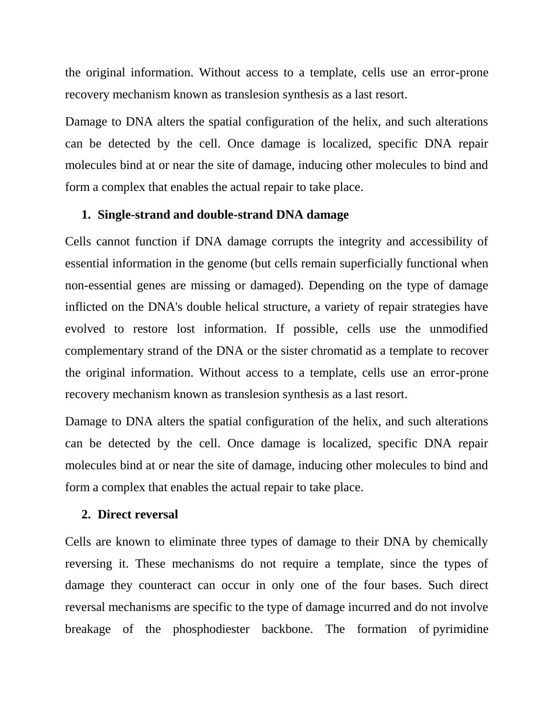the original information. Without access to a template, cells use an error-prone recovery mechanism known as translesion synthesis as a last resort.

Damage to DNA alters the spatial configuration of the helix, and such alterations can be detected by the cell. Once damage is localized, specific DNA repair molecules bind at or near the site of damage, inducing other molecules to bind and form a complex that enables the actual repair to take place.

#### **1. Single-strand and double-strand DNA damage**

Cells cannot function if DNA damage corrupts the integrity and accessibility of essential information in the [genome](https://en.wikipedia.org/wiki/Genome) (but cells remain superficially functional when non-essential genes are missing or damaged). Depending on the type of damage inflicted on the DNA's double helical structure, a variety of repair strategies have evolved to restore lost information. If possible, cells use the unmodified complementary strand of the DNA or the sister [chromatid](https://en.wikipedia.org/wiki/Chromatid) as a template to recover the original information. Without access to a template, cells use an error-prone recovery mechanism known as translesion synthesis as a last resort.

Damage to DNA alters the spatial configuration of the helix, and such alterations can be detected by the cell. Once damage is localized, specific DNA repair molecules bind at or near the site of damage, inducing other molecules to bind and form a complex that enables the actual repair to take place.

#### **2. Direct reversal**

Cells are known to eliminate three types of damage to their DNA by chemically reversing it. These mechanisms do not require a template, since the types of damage they counteract can occur in only one of the four bases. Such direct reversal mechanisms are specific to the type of damage incurred and do not involve breakage of the phosphodiester backbone. The formation of [pyrimidine](https://en.wikipedia.org/wiki/Pyrimidine_dimer)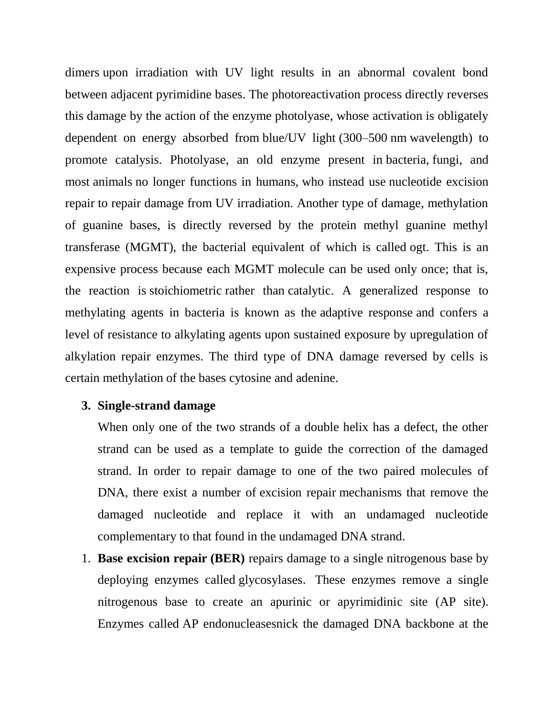dimers upon irradiation with UV light results in an abnormal covalent bond between adjacent pyrimidine bases. The [photoreactivation](https://en.wikipedia.org/wiki/Photoreactivation) process directly reverses this damage by the action of the enzyme [photolyase,](https://en.wikipedia.org/wiki/Photolyase) whose activation is obligately dependent on energy absorbed from [blue/UV light](https://en.wikipedia.org/wiki/Electromagnetic_spectrum) (300–500 nm [wavelength\)](https://en.wikipedia.org/wiki/Wavelength) to promote catalysis. Photolyase, an old enzyme present in [bacteria,](https://en.wikipedia.org/wiki/Bacteria) [fungi,](https://en.wikipedia.org/wiki/Fungi) and most [animals](https://en.wikipedia.org/wiki/Animals) no longer functions in humans, who instead use [nucleotide excision](https://en.wikipedia.org/wiki/Nucleotide_excision_repair)  [repair](https://en.wikipedia.org/wiki/Nucleotide_excision_repair) to repair damage from UV irradiation. Another type of damage, methylation of guanine bases, is directly reversed by the protein methyl guanine methyl transferase (MGMT), the bacterial equivalent of which is called [ogt.](https://en.wikipedia.org/wiki/Ogt) This is an expensive process because each MGMT molecule can be used only once; that is, the reaction is [stoichiometric](https://en.wikipedia.org/wiki/Stoichiometric) rather than [catalytic.](https://en.wikipedia.org/wiki/Catalytic) A generalized response to methylating agents in bacteria is known as the [adaptive response](https://en.wikipedia.org/wiki/Adaptive_response) and confers a level of resistance to alkylating agents upon sustained exposure by upregulation of alkylation repair enzymes. The third type of DNA damage reversed by cells is certain methylation of the bases cytosine and adenine.

#### **3. Single-strand damage**

When only one of the two strands of a double helix has a defect, the other strand can be used as a template to guide the correction of the damaged strand. In order to repair damage to one of the two paired molecules of DNA, there exist a number of [excision repair](https://en.wikipedia.org/wiki/Excision_repair) mechanisms that remove the damaged nucleotide and replace it with an undamaged nucleotide complementary to that found in the undamaged DNA strand.

1. **[Base excision repair](https://en.wikipedia.org/wiki/Base_excision_repair) (BER)** repairs damage to a single [nitrogenous base](https://en.wikipedia.org/wiki/Nitrogenous_base) by deploying enzymes called [glycosylases.](https://en.wikipedia.org/wiki/DNA_glycosylase) These enzymes remove a single nitrogenous base to create an apurinic or apyrimidinic site [\(AP site\)](https://en.wikipedia.org/wiki/AP_site). Enzymes called [AP endonucleasesn](https://en.wikipedia.org/wiki/AP_endonuclease)ick the damaged DNA backbone at the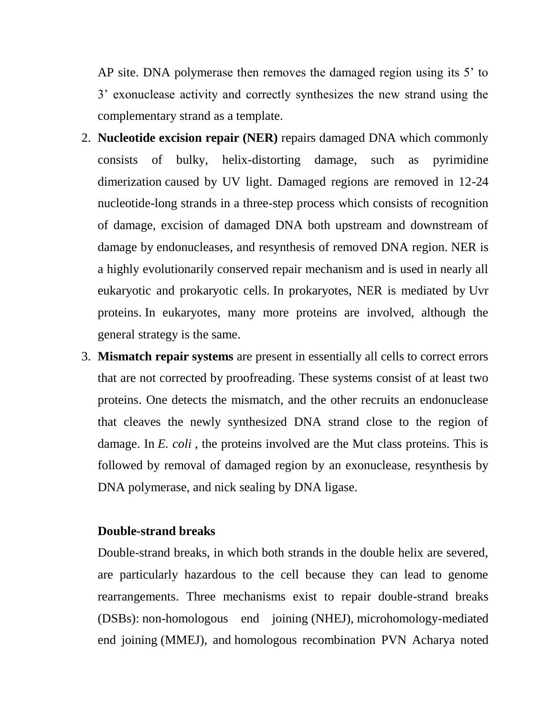AP site. DNA polymerase then removes the damaged region using its 5' to 3' exonuclease activity and correctly synthesizes the new strand using the complementary strand as a template.

- 2. **[Nucleotide excision repair](https://en.wikipedia.org/wiki/Nucleotide_excision_repair) (NER)** repairs damaged DNA which commonly consists of bulky, helix-distorting damage, such as [pyrimidine](https://en.wikipedia.org/wiki/Pyrimidine_dimer)  [dimerization](https://en.wikipedia.org/wiki/Pyrimidine_dimer) caused by UV light. Damaged regions are removed in 12-24 nucleotide-long strands in a three-step process which consists of recognition of damage, excision of damaged DNA both upstream and downstream of damage by [endonucleases,](https://en.wikipedia.org/wiki/Endonuclease) and resynthesis of removed DNA region. NER is a highly evolutionarily conserved repair mechanism and is used in nearly all eukaryotic and prokaryotic cells. In prokaryotes, NER is mediated by [Uvr](https://en.wikipedia.org/wiki/UvrABC_endonuclease)  [proteins.](https://en.wikipedia.org/wiki/UvrABC_endonuclease) In eukaryotes, many more proteins are involved, although the general strategy is the same.
- 3. **[Mismatch repair](https://en.wikipedia.org/wiki/Mismatch_repair) systems** are present in essentially all cells to correct errors that are not corrected by [proofreading.](https://en.wikipedia.org/wiki/Proofreading_(biology)) These systems consist of at least two proteins. One detects the mismatch, and the other recruits an endonuclease that cleaves the newly synthesized DNA strand close to the region of damage. In *E. coli* , the proteins involved are the Mut class proteins. This is followed by removal of damaged region by an exonuclease, resynthesis by DNA polymerase, and nick sealing by DNA ligase.

#### **Double-strand breaks**

Double-strand breaks, in which both strands in the double helix are severed, are particularly hazardous to the cell because they can lead to genome rearrangements. Three mechanisms exist to repair double-strand breaks (DSBs): [non-homologous end joining](https://en.wikipedia.org/wiki/Non-homologous_end_joining) (NHEJ), [microhomology-mediated](https://en.wikipedia.org/wiki/Microhomology-mediated_end_joining)  [end joining](https://en.wikipedia.org/wiki/Microhomology-mediated_end_joining) (MMEJ), and [homologous recombination](https://en.wikipedia.org/wiki/Homologous_recombination) PVN Acharya noted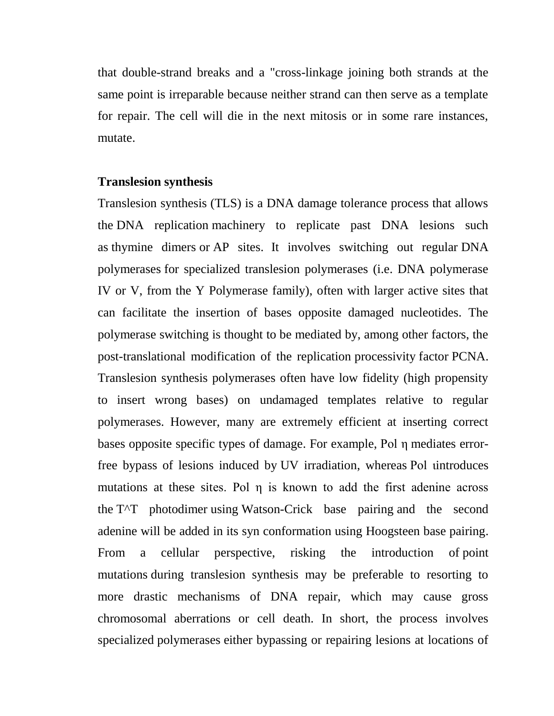that double-strand breaks and a "cross-linkage joining both strands at the same point is irreparable because neither strand can then serve as a template for repair. The cell will die in the next mitosis or in some rare instances, mutate.

#### **Translesion synthesis**

Translesion synthesis (TLS) is a DNA damage tolerance process that allows the [DNA replication](https://en.wikipedia.org/wiki/DNA_replication) machinery to replicate past DNA lesions such as [thymine dimers](https://en.wikipedia.org/wiki/Thymine_dimer) or [AP sites.](https://en.wikipedia.org/wiki/AP_site) It involves switching out regular [DNA](https://en.wikipedia.org/wiki/DNA_polymerase)  [polymerases](https://en.wikipedia.org/wiki/DNA_polymerase) for specialized translesion polymerases (i.e. DNA polymerase IV or V, from the Y Polymerase family), often with larger active sites that can facilitate the insertion of bases opposite damaged nucleotides. The polymerase switching is thought to be mediated by, among other factors, the post-translational modification of the replication [processivity](https://en.wikipedia.org/wiki/Processivity) factor [PCNA.](https://en.wikipedia.org/wiki/PCNA) Translesion synthesis polymerases often have low fidelity (high propensity to insert wrong bases) on undamaged templates relative to regular polymerases. However, many are extremely efficient at inserting correct bases opposite specific types of damage. For example, [Pol η](https://en.wikipedia.org/wiki/DNA_polymerase_eta) mediates errorfree bypass of lesions induced by [UV irradiation,](https://en.wikipedia.org/wiki/Ultraviolet) whereas [Pol ιi](https://en.wikipedia.org/wiki/POLI)ntroduces mutations at these sites. Pol η is known to add the first adenine across the [T^T photodimer](https://en.wikipedia.org/wiki/Pyrimidine_dimers#Mutagenesis) using [Watson-Crick base pairing](https://en.wikipedia.org/wiki/Base_pair) and the second adenine will be added in its syn conformation using [Hoogsteen base pairing.](https://en.wikipedia.org/wiki/Hoogsteen_base_pair) From a cellular perspective, risking the introduction of [point](https://en.wikipedia.org/wiki/Point_mutation)  [mutations](https://en.wikipedia.org/wiki/Point_mutation) during translesion synthesis may be preferable to resorting to more drastic mechanisms of DNA repair, which may cause gross chromosomal aberrations or cell death. In short, the process involves specialized [polymerases](https://en.wikipedia.org/wiki/Polymerases) either bypassing or repairing lesions at locations of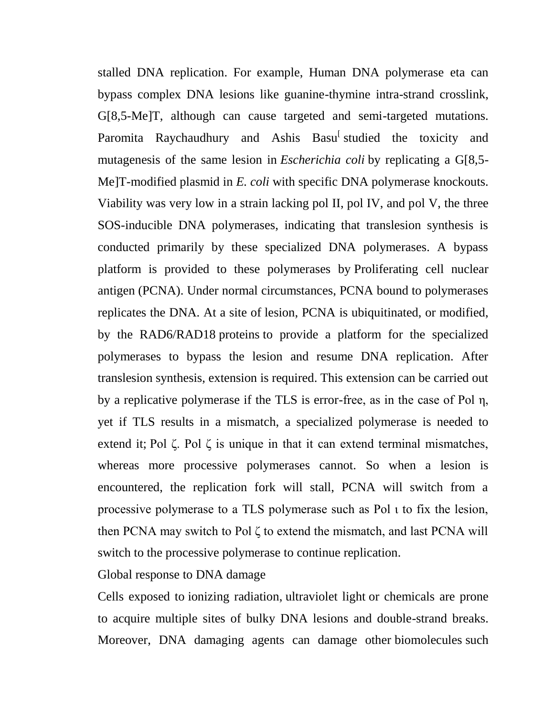stalled DNA replication. For example, Human DNA polymerase eta can bypass complex DNA lesions like guanine-thymine intra-strand crosslink, G[8,5-Me]T, although can cause targeted and semi-targeted mutations. Paromita Raycha[u](https://en.wikipedia.org/wiki/DNA_repair#cite_note-pmid21302943-35)dhury and Ashis Basu<sup>[</sup> studied the toxicity and mutagenesis of the same lesion in *Escherichia coli* by replicating a G[8,5- Me]T-modified plasmid in *E. coli* with specific DNA polymerase knockouts. Viability was very low in a strain lacking pol II, pol IV, and pol V, the three SOS-inducible DNA polymerases, indicating that translesion synthesis is conducted primarily by these specialized DNA polymerases. A bypass platform is provided to these polymerases by [Proliferating cell nuclear](https://en.wikipedia.org/wiki/Proliferating_cell_nuclear_antigen)  [antigen](https://en.wikipedia.org/wiki/Proliferating_cell_nuclear_antigen) (PCNA). Under normal circumstances, PCNA bound to polymerases replicates the DNA. At a site of [lesion,](https://en.wikipedia.org/wiki/Lesion) PCNA is ubiquitinated, or modified, by the RAD6[/RAD18](https://en.wikipedia.org/wiki/RAD18) [proteins](https://en.wikipedia.org/wiki/Proteins) to provide a platform for the specialized polymerases to bypass the lesion and resume DNA replication. After translesion synthesis, extension is required. This extension can be carried out by a replicative polymerase if the TLS is error-free, as in the case of Pol η, yet if TLS results in a mismatch, a specialized polymerase is needed to extend it; Pol  $\zeta$ . Pol  $\zeta$  is unique in that it can extend terminal mismatches, whereas more processive polymerases cannot. So when a lesion is encountered, the replication fork will stall, PCNA will switch from a processive polymerase to a TLS polymerase such as Pol ι to fix the lesion, then PCNA may switch to Pol ζ to extend the mismatch, and last PCNA will switch to the processive polymerase to continue replication.

### Global response to DNA damage

Cells exposed to [ionizing radiation,](https://en.wikipedia.org/wiki/Ionizing_radiation) [ultraviolet light](https://en.wikipedia.org/wiki/Ultraviolet_light) or chemicals are prone to acquire multiple sites of bulky DNA lesions and double-strand breaks. Moreover, DNA damaging agents can damage other [biomolecules](https://en.wikipedia.org/wiki/Biomolecule) such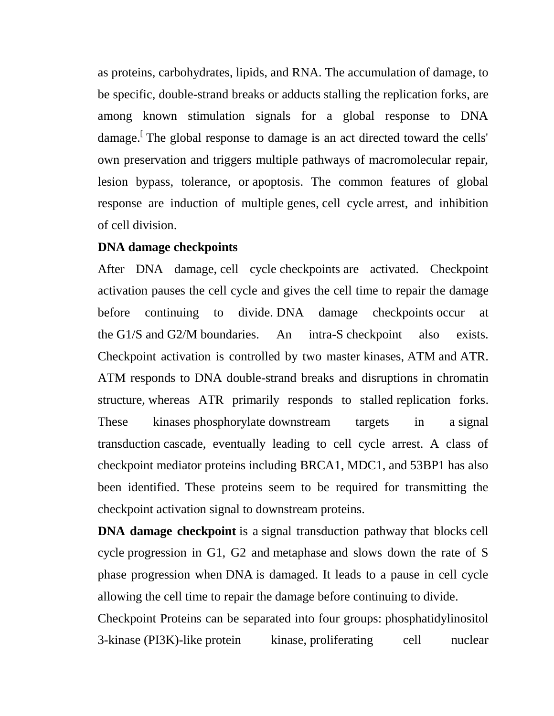as [proteins,](https://en.wikipedia.org/wiki/Protein) [carbohydrates,](https://en.wikipedia.org/wiki/Carbohydrate) [lipids,](https://en.wikipedia.org/wiki/Lipid) and [RNA.](https://en.wikipedia.org/wiki/RNA) The accumulation of damage, to be specific, double-strand breaks or adducts stalling the [replication forks,](https://en.wikipedia.org/wiki/Replication_fork) are among known stimulation signals for a global response to DNA damage.<sup>[</sup> The global response to damage is an act directed toward the cells' own preservation and triggers multiple pathways of macromolecular repair, lesion bypass, tolerance, or [apoptosis.](https://en.wikipedia.org/wiki/Apoptosis) The common features of global response are induction of multiple [genes,](https://en.wikipedia.org/wiki/Gene) [cell cycle](https://en.wikipedia.org/wiki/Cell_cycle) arrest, and inhibition of [cell division.](https://en.wikipedia.org/wiki/Cell_division)

#### **DNA damage checkpoints**

After DNA damage, [cell cycle](https://en.wikipedia.org/wiki/Cell_cycle) [checkpoints](https://en.wikipedia.org/wiki/Cell_cycle_checkpoint) are activated. Checkpoint activation pauses the cell cycle and gives the cell time to repair the damage before continuing to divide. [DNA damage checkpoints](https://en.wikipedia.org/wiki/DNA_damage_checkpoints) occur at the [G1](https://en.wikipedia.org/wiki/G1_phase)[/S](https://en.wikipedia.org/wiki/S_phase) and [G2](https://en.wikipedia.org/wiki/G2_phase)[/M](https://en.wikipedia.org/wiki/Mitosis) boundaries. An intra[-S](https://en.wikipedia.org/wiki/S_phase) checkpoint also exists. Checkpoint activation is controlled by two master [kinases,](https://en.wikipedia.org/wiki/Kinase) [ATM](https://en.wikipedia.org/wiki/Ataxia_telangiectasia_mutated) and [ATR.](https://en.wikipedia.org/wiki/Ataxia_Telangiectasia_and_Rad3_related) ATM responds to DNA double-strand breaks and disruptions in chromatin structure, whereas ATR primarily responds to stalled [replication forks.](https://en.wikipedia.org/wiki/Replication_fork) These kinases [phosphorylate](https://en.wikipedia.org/wiki/Phosphorylation) downstream targets in a [signal](https://en.wikipedia.org/wiki/Signal_transduction)  [transduction](https://en.wikipedia.org/wiki/Signal_transduction) cascade, eventually leading to cell cycle arrest. A class of checkpoint mediator proteins including [BRCA1,](https://en.wikipedia.org/wiki/BRCA1) [MDC1,](https://en.wikipedia.org/wiki/MDC1) and [53BP1](https://en.wikipedia.org/wiki/53BP1) has also been identified. These proteins seem to be required for transmitting the checkpoint activation signal to downstream proteins.

**DNA damage checkpoint** is a [signal transduction pathway](https://en.wikipedia.org/wiki/Signal_transduction_pathway) that blocks [cell](https://en.wikipedia.org/wiki/Cell_cycle)  [cycle](https://en.wikipedia.org/wiki/Cell_cycle) progression in G1, G2 and [metaphase](https://en.wikipedia.org/wiki/Metaphase) and slows down the rate of S phase progression when [DNA](https://en.wikipedia.org/wiki/DNA) is damaged. It leads to a pause in cell cycle allowing the cell time to repair the damage before continuing to divide.

Checkpoint Proteins can be separated into four groups: [phosphatidylinositol](https://en.wikipedia.org/wiki/Phosphatidylinositol_3-kinase)  [3-kinase](https://en.wikipedia.org/wiki/Phosphatidylinositol_3-kinase) (PI3K)-like [protein kinase,](https://en.wikipedia.org/wiki/Protein_kinase) [proliferating cell nuclear](https://en.wikipedia.org/wiki/Proliferating_cell_nuclear_antigen)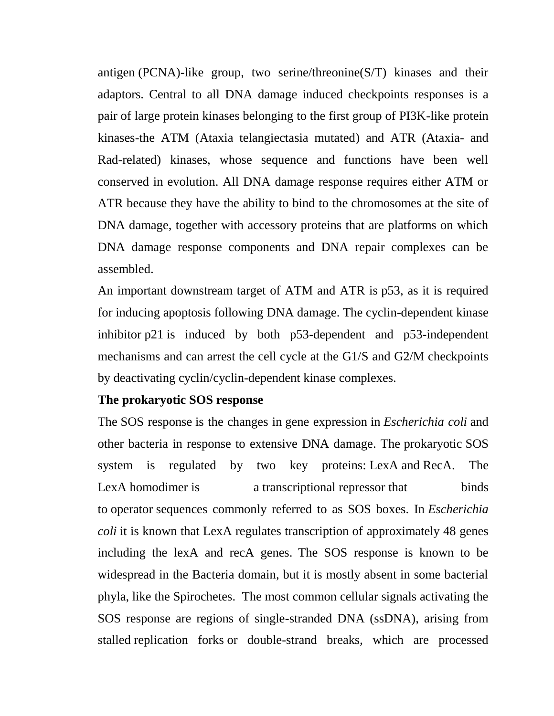antigen (PCNA)-like group, two serine/threonine(S/T) kinases and their adaptors. Central to all DNA damage induced checkpoints responses is a pair of large protein kinases belonging to the first group of PI3K-like protein kinases-the ATM [\(Ataxia telangiectasia mutated\)](https://en.wikipedia.org/wiki/Ataxia_telangiectasia_mutated) and ATR (Ataxia- and Rad-related) kinases, whose sequence and functions have been well conserved in evolution. All DNA damage response requires either ATM or ATR because they have the ability to bind to the [chromosomes](https://en.wikipedia.org/wiki/Chromosome) at the site of DNA damage, together with accessory proteins that are platforms on which DNA damage response components and DNA repair complexes can be assembled.

An important downstream target of ATM and ATR is [p53,](https://en.wikipedia.org/wiki/P53) as it is required for inducing [apoptosis](https://en.wikipedia.org/wiki/Apoptosis) following DNA damage. The [cyclin-dependent kinase](https://en.wikipedia.org/wiki/Cyclin-dependent_kinase_inhibitor)  [inhibitor](https://en.wikipedia.org/wiki/Cyclin-dependent_kinase_inhibitor) [p21](https://en.wikipedia.org/wiki/P21) is induced by both p53-dependent and p53-independent mechanisms and can arrest the cell cycle at the G1/S and G2/M checkpoints by deactivating [cyclin](https://en.wikipedia.org/wiki/Cyclin)[/cyclin-dependent kinase](https://en.wikipedia.org/wiki/Cyclin-dependent_kinase) complexes.

#### **The prokaryotic SOS response**

The [SOS response](https://en.wikipedia.org/wiki/SOS_response) is the changes in [gene expression](https://en.wikipedia.org/wiki/Gene_expression) in *[Escherichia coli](https://en.wikipedia.org/wiki/Escherichia_coli)* and other bacteria in response to extensive DNA damage. The [prokaryotic](https://en.wikipedia.org/wiki/Prokaryotic) SOS system is regulated by two key proteins: [LexA](https://en.wikipedia.org/wiki/LexA) and [RecA.](https://en.wikipedia.org/wiki/RecA) The LexA [homodimer](https://en.wikipedia.org/wiki/Homodimer) is a [transcriptional](https://en.wikipedia.org/wiki/Transcription_(genetics)) [repressor](https://en.wikipedia.org/wiki/Repressor) that binds to [operator](https://en.wikipedia.org/wiki/Operator_(biology)) sequences commonly referred to as SOS boxes. In *[Escherichia](https://en.wikipedia.org/wiki/Escherichia_coli)  [coli](https://en.wikipedia.org/wiki/Escherichia_coli)* it is known that LexA regulates transcription of approximately 48 genes including the lexA and recA genes. The SOS response is known to be widespread in the Bacteria domain, but it is mostly absent in some bacterial phyla, like the [Spirochetes.](https://en.wikipedia.org/wiki/Spirochetes) The most common cellular signals activating the SOS response are regions of single-stranded DNA (ssDNA), arising from stalled [replication forks](https://en.wikipedia.org/wiki/Replication_fork) or double-strand breaks, which are processed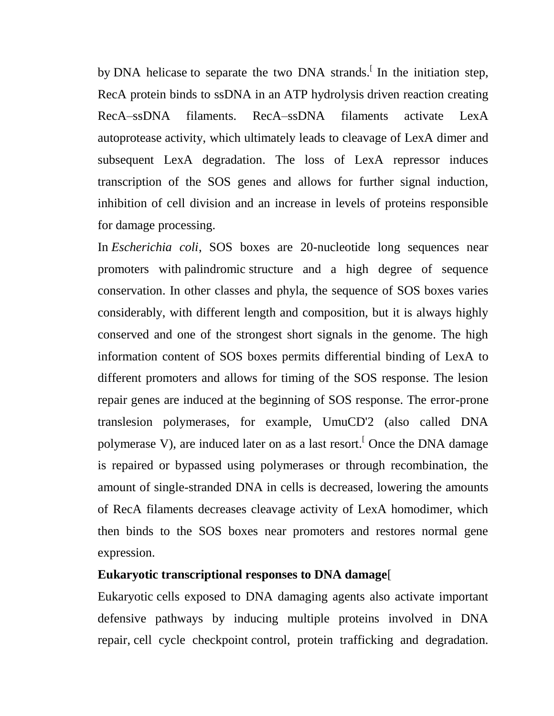by [DNA helicase](https://en.wikipedia.org/wiki/DNA_helicase) to separate the two DNA strands.<sup>[I]</sup> In the initiation step, RecA protein binds to ssDNA in an [ATP hydrolysis](https://en.wikipedia.org/wiki/ATP_hydrolysis) driven reaction creating RecA–ssDNA filaments. RecA–ssDNA filaments activate LexA aut[oprotease](https://en.wikipedia.org/wiki/Protease) activity, which ultimately leads to cleavage of LexA dimer and subsequent LexA degradation. The loss of LexA repressor induces transcription of the SOS genes and allows for further signal induction, inhibition of cell division and an increase in levels of proteins responsible for damage processing.

In *Escherichia coli*, SOS boxes are 20-nucleotide long sequences near promoters with [palindromic](https://en.wikipedia.org/wiki/Palindromic) structure and a high degree of sequence conservation. In other classes and phyla, the sequence of SOS boxes varies considerably, with different length and composition, but it is always highly conserved and one of the strongest short signals in the genome. The high information content of SOS boxes permits differential binding of LexA to different promoters and allows for timing of the SOS response. The lesion repair genes are induced at the beginning of SOS response. The error-prone translesion polymerases, for example, UmuCD'2 (also called DNA polymerase V), are induced later on as a last resort[.](https://en.wikipedia.org/wiki/DNA_repair#cite_note-Goodman-45)<sup>[</sup> Once the DNA damage is repaired or bypassed using polymerases or through recombination, the amount of single-stranded DNA in cells is decreased, lowering the amounts of RecA filaments decreases cleavage activity of LexA homodimer, which then binds to the SOS boxes near promoters and restores normal gene expression.

#### **Eukaryotic transcriptional responses to DNA damage**[

[Eukaryotic](https://en.wikipedia.org/wiki/Eukaryotic) cells exposed to DNA damaging agents also activate important defensive pathways by inducing multiple proteins involved in DNA repair, [cell cycle checkpoint](https://en.wikipedia.org/wiki/Cell_cycle_checkpoint) control, protein trafficking and degradation.